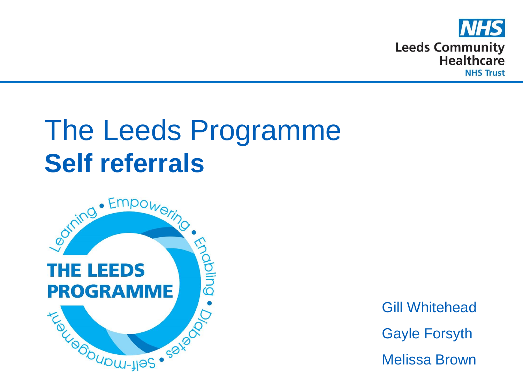

## The Leeds Programme



Gill Whitehead Gayle Forsyth Melissa Brown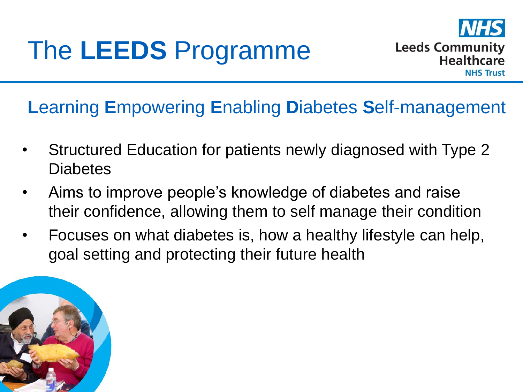

## **L**earning **E**mpowering **E**nabling **D**iabetes **S**elf-management

- Structured Education for patients newly diagnosed with Type 2 **Diabetes**
- Aims to improve people's knowledge of diabetes and raise their confidence, allowing them to self manage their condition
- Focuses on what diabetes is, how a healthy lifestyle can help, goal setting and protecting their future health

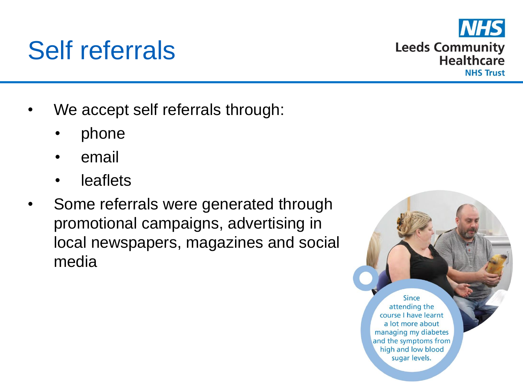## We accept self referrals through:

• phone

Self referrals

- email
- **leaflets**
- Some referrals were generated through promotional campaigns, advertising in local newspapers, magazines and social media

**Since** attending the course I have learnt a lot more about managing my diabetes and the symptoms from high and low blood sugar levels.

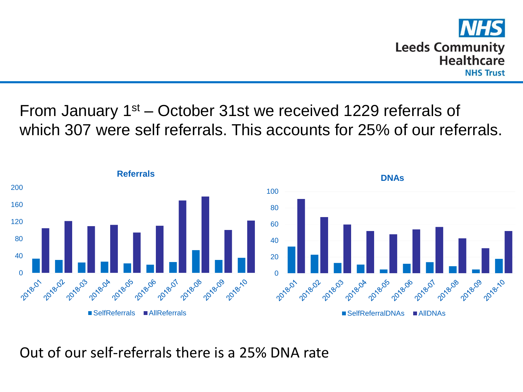

From January 1st – October 31st we received 1229 referrals of which 307 were self referrals. This accounts for 25% of our referrals.



Out of our self-referrals there is a 25% DNA rate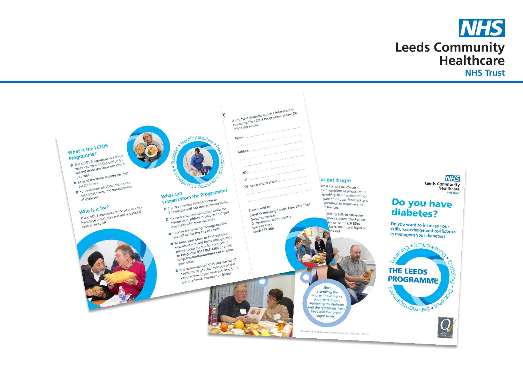